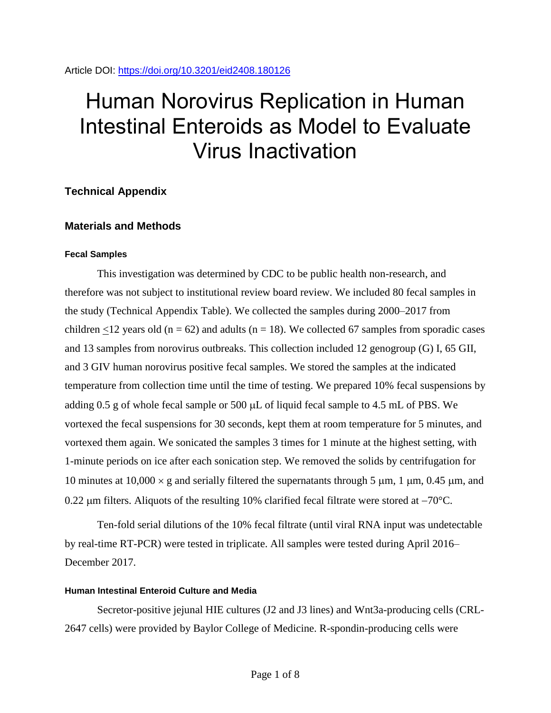# Human Norovirus Replication in Human Intestinal Enteroids as Model to Evaluate Virus Inactivation

# **Technical Appendix**

# **Materials and Methods**

## **Fecal Samples**

This investigation was determined by CDC to be public health non-research, and therefore was not subject to institutional review board review. We included 80 fecal samples in the study (Technical Appendix Table). We collected the samples during 2000–2017 from children <12 years old ( $n = 62$ ) and adults ( $n = 18$ ). We collected 67 samples from sporadic cases and 13 samples from norovirus outbreaks. This collection included 12 genogroup (G) I, 65 GII, and 3 GIV human norovirus positive fecal samples. We stored the samples at the indicated temperature from collection time until the time of testing. We prepared 10% fecal suspensions by adding  $0.5$  g of whole fecal sample or  $500 \mu L$  of liquid fecal sample to 4.5 mL of PBS. We vortexed the fecal suspensions for 30 seconds, kept them at room temperature for 5 minutes, and vortexed them again. We sonicated the samples 3 times for 1 minute at the highest setting, with 1-minute periods on ice after each sonication step. We removed the solids by centrifugation for 10 minutes at  $10,000 \times g$  and serially filtered the supernatants through 5 µm, 1 µm, 0.45 µm, and 0.22  $\mu$ m filters. Aliquots of the resulting 10% clarified fecal filtrate were stored at  $-70^{\circ}$ C.

Ten-fold serial dilutions of the 10% fecal filtrate (until viral RNA input was undetectable by real-time RT-PCR) were tested in triplicate. All samples were tested during April 2016– December 2017.

## **Human Intestinal Enteroid Culture and Media**

Secretor-positive jejunal HIE cultures (J2 and J3 lines) and Wnt3a-producing cells (CRL-2647 cells) were provided by Baylor College of Medicine. R-spondin-producing cells were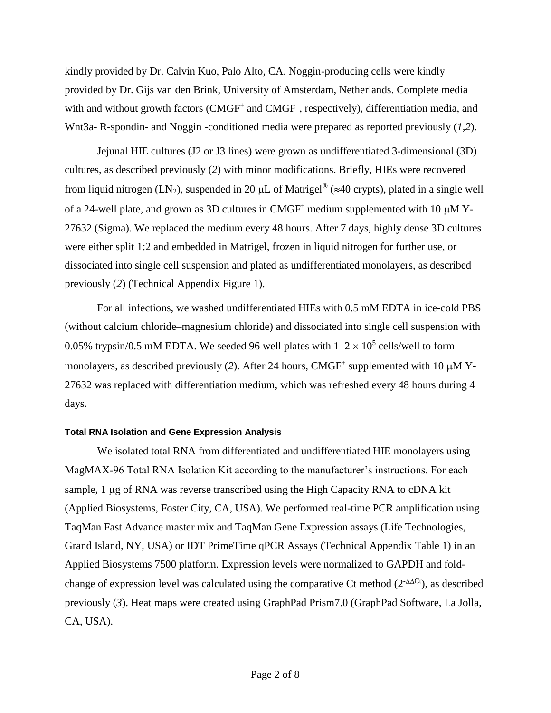kindly provided by Dr. Calvin Kuo, Palo Alto, CA. Noggin-producing cells were kindly provided by Dr. Gijs van den Brink, University of Amsterdam, Netherlands. Complete media with and without growth factors (CMGF<sup>+</sup> and CMGF<sup>-</sup>, respectively), differentiation media, and Wnt3a- R-spondin- and Noggin -conditioned media were prepared as reported previously (*1,2*).

Jejunal HIE cultures (J2 or J3 lines) were grown as undifferentiated 3-dimensional (3D) cultures, as described previously (*2*) with minor modifications. Briefly, HIEs were recovered from liquid nitrogen (LN<sub>2</sub>), suspended in 20  $\mu$ L of Matrigel<sup>®</sup> ( $\approx$ 40 crypts), plated in a single well of a 24-well plate, and grown as 3D cultures in  $CMGF<sup>+</sup>$  medium supplemented with 10  $\mu$ M Y-27632 (Sigma). We replaced the medium every 48 hours. After 7 days, highly dense 3D cultures were either split 1:2 and embedded in Matrigel, frozen in liquid nitrogen for further use, or dissociated into single cell suspension and plated as undifferentiated monolayers, as described previously (*2*) (Technical Appendix Figure 1).

For all infections, we washed undifferentiated HIEs with 0.5 mM EDTA in ice-cold PBS (without calcium chloride–magnesium chloride) and dissociated into single cell suspension with 0.05% trypsin/0.5 mM EDTA. We seeded 96 well plates with  $1-2 \times 10^5$  cells/well to form monolayers, as described previously (2). After 24 hours, CMGF<sup>+</sup> supplemented with 10  $\mu$ MY-27632 was replaced with differentiation medium, which was refreshed every 48 hours during 4 days.

## **Total RNA Isolation and Gene Expression Analysis**

We isolated total RNA from differentiated and undifferentiated HIE monolayers using MagMAX-96 Total RNA Isolation Kit according to the manufacturer's instructions. For each sample, 1 µg of RNA was reverse transcribed using the High Capacity RNA to cDNA kit (Applied Biosystems, Foster City, CA, USA). We performed real-time PCR amplification using TaqMan Fast Advance master mix and TaqMan Gene Expression assays (Life Technologies, Grand Island, NY, USA) or IDT PrimeTime qPCR Assays (Technical Appendix Table 1) in an Applied Biosystems 7500 platform. Expression levels were normalized to GAPDH and foldchange of expression level was calculated using the comparative Ct method  $(2^{-\Delta\Delta Ct})$ , as described previously (*3*). Heat maps were created using GraphPad Prism7.0 (GraphPad Software, La Jolla, CA, USA).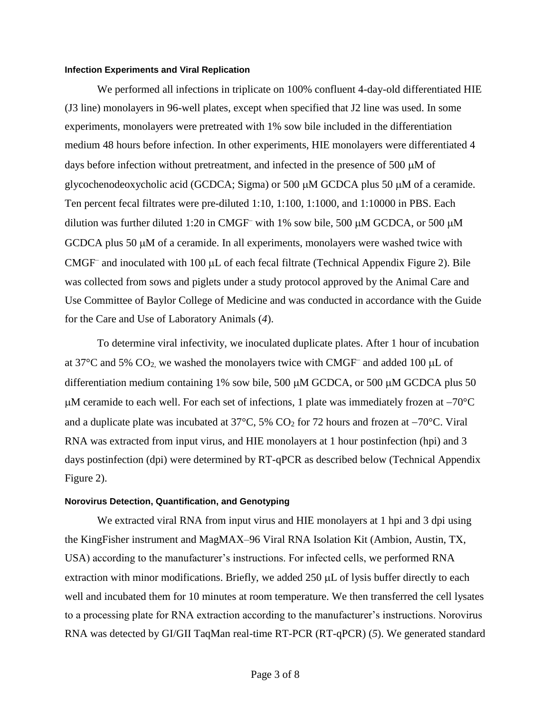#### **Infection Experiments and Viral Replication**

We performed all infections in triplicate on 100% confluent 4-day-old differentiated HIE (J3 line) monolayers in 96-well plates, except when specified that J2 line was used. In some experiments, monolayers were pretreated with 1% sow bile included in the differentiation medium 48 hours before infection. In other experiments, HIE monolayers were differentiated 4 days before infection without pretreatment, and infected in the presence of 500  $\mu$ M of glycochenodeoxycholic acid (GCDCA; Sigma) or 500  $\mu$ M GCDCA plus 50  $\mu$ M of a ceramide. Ten percent fecal filtrates were pre-diluted 1:10, 1:100, 1:1000, and 1:10000 in PBS. Each dilution was further diluted 1:20 in CMGF<sup>-</sup> with 1% sow bile, 500  $\mu$ M GCDCA, or 500  $\mu$ M GCDCA plus 50  $\mu$ M of a ceramide. In all experiments, monolayers were washed twice with CMGF<sup>-</sup> and inoculated with 100 µL of each fecal filtrate (Technical Appendix Figure 2). Bile was collected from sows and piglets under a study protocol approved by the Animal Care and Use Committee of Baylor College of Medicine and was conducted in accordance with the Guide for the Care and Use of Laboratory Animals (*4*).

To determine viral infectivity, we inoculated duplicate plates. After 1 hour of incubation at 37 $^{\circ}$ C and 5% CO<sub>2</sub>, we washed the monolayers twice with CMGF<sup>-</sup> and added 100  $\mu$ L of differentiation medium containing 1% sow bile, 500  $\mu$ M GCDCA, or 500  $\mu$ M GCDCA plus 50  $\mu$ M ceramide to each well. For each set of infections, 1 plate was immediately frozen at  $-70^{\circ}$ C and a duplicate plate was incubated at  $37^{\circ}$ C,  $5\%$  CO<sub>2</sub> for 72 hours and frozen at  $-70^{\circ}$ C. Viral RNA was extracted from input virus, and HIE monolayers at 1 hour postinfection (hpi) and 3 days postinfection (dpi) were determined by RT-qPCR as described below (Technical Appendix Figure 2).

#### **Norovirus Detection, Quantification, and Genotyping**

We extracted viral RNA from input virus and HIE monolayers at 1 hpi and 3 dpi using the KingFisher instrument and MagMAX–96 Viral RNA Isolation Kit (Ambion, Austin, TX, USA) according to the manufacturer's instructions. For infected cells, we performed RNA extraction with minor modifications. Briefly, we added  $250 \mu L$  of lysis buffer directly to each well and incubated them for 10 minutes at room temperature. We then transferred the cell lysates to a processing plate for RNA extraction according to the manufacturer's instructions. Norovirus RNA was detected by GI/GII TaqMan real-time RT-PCR (RT-qPCR) (*5*). We generated standard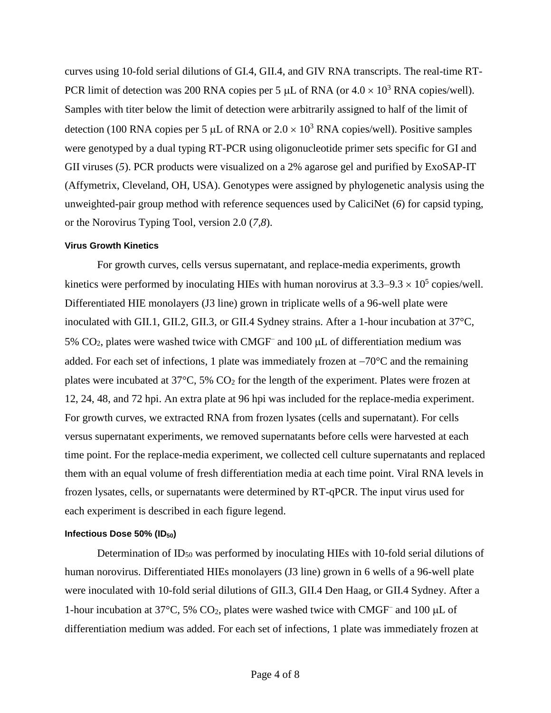curves using 10-fold serial dilutions of GI.4, GII.4, and GIV RNA transcripts. The real-time RT-PCR limit of detection was 200 RNA copies per 5  $\mu$ L of RNA (or  $4.0 \times 10^3$  RNA copies/well). Samples with titer below the limit of detection were arbitrarily assigned to half of the limit of detection (100 RNA copies per 5 µL of RNA or  $2.0 \times 10^3$  RNA copies/well). Positive samples were genotyped by a dual typing RT-PCR using oligonucleotide primer sets specific for GI and GII viruses (*5*). PCR products were visualized on a 2% agarose gel and purified by ExoSAP-IT (Affymetrix, Cleveland, OH, USA). Genotypes were assigned by phylogenetic analysis using the unweighted-pair group method with reference sequences used by CaliciNet (*6*) for capsid typing, or the Norovirus Typing Tool, version 2.0 (*7,8*).

#### **Virus Growth Kinetics**

For growth curves, cells versus supernatant, and replace-media experiments, growth kinetics were performed by inoculating HIEs with human norovirus at  $3.3-9.3 \times 10^5$  copies/well. Differentiated HIE monolayers (J3 line) grown in triplicate wells of a 96-well plate were inoculated with GII.1, GII.2, GII.3, or GII.4 Sydney strains. After a 1-hour incubation at 37°C, 5%  $CO<sub>2</sub>$ , plates were washed twice with CMGF<sup>-</sup> and 100  $\mu$ L of differentiation medium was added. For each set of infections, 1 plate was immediately frozen at  $-70^{\circ}$ C and the remaining plates were incubated at  $37^{\circ}$ C,  $5\%$  CO<sub>2</sub> for the length of the experiment. Plates were frozen at 12, 24, 48, and 72 hpi. An extra plate at 96 hpi was included for the replace-media experiment. For growth curves, we extracted RNA from frozen lysates (cells and supernatant). For cells versus supernatant experiments, we removed supernatants before cells were harvested at each time point. For the replace-media experiment, we collected cell culture supernatants and replaced them with an equal volume of fresh differentiation media at each time point. Viral RNA levels in frozen lysates, cells, or supernatants were determined by RT-qPCR. The input virus used for each experiment is described in each figure legend.

## Infectious Dose 50% (ID<sub>50</sub>)

Determination of ID<sub>50</sub> was performed by inoculating HIEs with 10-fold serial dilutions of human norovirus. Differentiated HIEs monolayers (J3 line) grown in 6 wells of a 96-well plate were inoculated with 10-fold serial dilutions of GII.3, GII.4 Den Haag, or GII.4 Sydney. After a 1-hour incubation at 37°C, 5% CO<sub>2</sub>, plates were washed twice with CMGF<sup>-</sup> and 100  $\mu$ L of differentiation medium was added. For each set of infections, 1 plate was immediately frozen at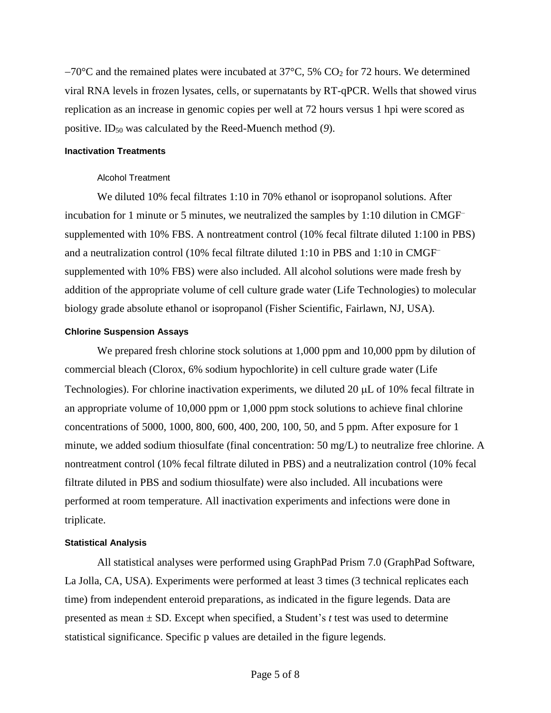$-70^{\circ}$ C and the remained plates were incubated at 37 $^{\circ}$ C, 5% CO<sub>2</sub> for 72 hours. We determined viral RNA levels in frozen lysates, cells, or supernatants by RT-qPCR. Wells that showed virus replication as an increase in genomic copies per well at 72 hours versus 1 hpi were scored as positive. ID<sup>50</sup> was calculated by the Reed-Muench method (*9*).

## **Inactivation Treatments**

## Alcohol Treatment

We diluted 10% fecal filtrates 1:10 in 70% ethanol or isopropanol solutions. After incubation for 1 minute or 5 minutes, we neutralized the samples by 1:10 dilution in CMGF– supplemented with 10% FBS. A nontreatment control (10% fecal filtrate diluted 1:100 in PBS) and a neutralization control (10% fecal filtrate diluted 1:10 in PBS and 1:10 in CMGF– supplemented with 10% FBS) were also included. All alcohol solutions were made fresh by addition of the appropriate volume of cell culture grade water (Life Technologies) to molecular biology grade absolute ethanol or isopropanol (Fisher Scientific, Fairlawn, NJ, USA).

## **Chlorine Suspension Assays**

We prepared fresh chlorine stock solutions at 1,000 ppm and 10,000 ppm by dilution of commercial bleach (Clorox, 6% sodium hypochlorite) in cell culture grade water (Life Technologies). For chlorine inactivation experiments, we diluted 20  $\mu$ L of 10% fecal filtrate in an appropriate volume of 10,000 ppm or 1,000 ppm stock solutions to achieve final chlorine concentrations of 5000, 1000, 800, 600, 400, 200, 100, 50, and 5 ppm. After exposure for 1 minute, we added sodium thiosulfate (final concentration: 50 mg/L) to neutralize free chlorine. A nontreatment control (10% fecal filtrate diluted in PBS) and a neutralization control (10% fecal filtrate diluted in PBS and sodium thiosulfate) were also included. All incubations were performed at room temperature. All inactivation experiments and infections were done in triplicate.

#### **Statistical Analysis**

All statistical analyses were performed using GraphPad Prism 7.0 (GraphPad Software, La Jolla, CA, USA). Experiments were performed at least 3 times (3 technical replicates each time) from independent enteroid preparations, as indicated in the figure legends. Data are presented as mean ± SD. Except when specified, a Student's *t* test was used to determine statistical significance. Specific p values are detailed in the figure legends.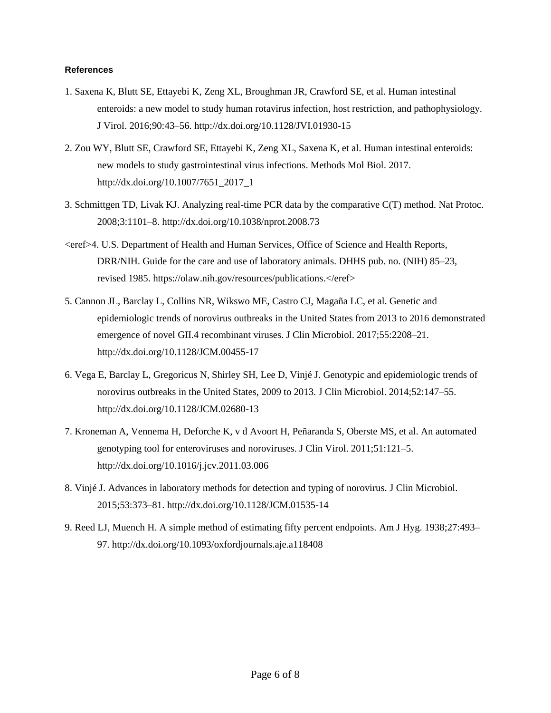## **References**

- 1. Saxena K, Blutt SE, Ettayebi K, Zeng XL, Broughman JR, Crawford SE, et al. Human intestinal enteroids: a new model to study human rotavirus infection, host restriction, and pathophysiology. J Virol. 2016;90:43–56. <http://dx.doi.org/10.1128/JVI.01930-15>
- 2. Zou WY, Blutt SE, Crawford SE, Ettayebi K, Zeng XL, Saxena K, et al. Human intestinal enteroids: new models to study gastrointestinal virus infections. Methods Mol Biol. 2017. [http://dx.doi.org/10.1007/7651\\_2017\\_1](http://dx.doi.org/10.1007/7651_2017_1)
- 3. Schmittgen TD, Livak KJ. Analyzing real-time PCR data by the comparative C(T) method. Nat Protoc. 2008;3:1101–8. <http://dx.doi.org/10.1038/nprot.2008.73>
- <eref>4. U.S. Department of Health and Human Services, Office of Science and Health Reports, DRR/NIH. Guide for the care and use of laboratory animals. DHHS pub. no. (NIH) 85–23, revised 1985. [https://olaw.nih.gov/resources/publications.](https://olaw.nih.gov/resources/publications)</eref>
- 5. Cannon JL, Barclay L, Collins NR, Wikswo ME, Castro CJ, Magaña LC, et al. Genetic and epidemiologic trends of norovirus outbreaks in the United States from 2013 to 2016 demonstrated emergence of novel GII.4 recombinant viruses. J Clin Microbiol. 2017;55:2208–21. <http://dx.doi.org/10.1128/JCM.00455-17>
- 6. Vega E, Barclay L, Gregoricus N, Shirley SH, Lee D, Vinjé J. Genotypic and epidemiologic trends of norovirus outbreaks in the United States, 2009 to 2013. J Clin Microbiol. 2014;52:147–55. <http://dx.doi.org/10.1128/JCM.02680-13>
- 7. Kroneman A, Vennema H, Deforche K, v d Avoort H, Peñaranda S, Oberste MS, et al. An automated genotyping tool for enteroviruses and noroviruses. J Clin Virol. 2011;51:121–5. <http://dx.doi.org/10.1016/j.jcv.2011.03.006>
- 8. Vinjé J. Advances in laboratory methods for detection and typing of norovirus. J Clin Microbiol. 2015;53:373–81. <http://dx.doi.org/10.1128/JCM.01535-14>
- 9. Reed LJ, Muench H. A simple method of estimating fifty percent endpoints. Am J Hyg. 1938;27:493– 97. [http://dx.doi.org/10.1093/oxfordjournals.aje.a118408](http://dx.doi.org/)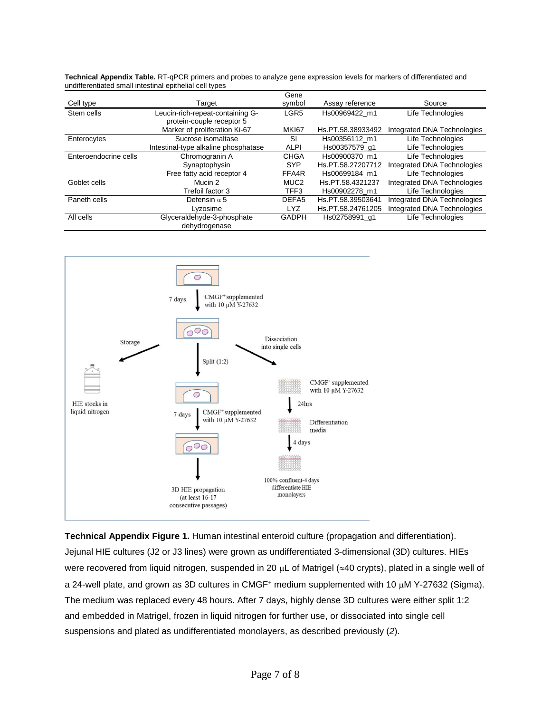|                       |                                      | Gene             |                   |                             |
|-----------------------|--------------------------------------|------------------|-------------------|-----------------------------|
| Cell type             | Target                               | symbol           | Assay reference   | Source                      |
| Stem cells            | Leucin-rich-repeat-containing G-     | LGR <sub>5</sub> | Hs00969422 m1     | Life Technologies           |
|                       | protein-couple receptor 5            |                  |                   |                             |
|                       | Marker of proliferation Ki-67        | MKI67            | Hs.PT.58.38933492 | Integrated DNA Technologies |
| Enterocytes           | Sucrose isomaltase                   | <b>SI</b>        | Hs00356112 m1     | Life Technologies           |
|                       | Intestinal-type alkaline phosphatase | <b>ALPI</b>      | Hs00357579 q1     | Life Technologies           |
| Enteroendocrine cells | Chromogranin A                       | <b>CHGA</b>      | Hs00900370 m1     | Life Technologies           |
|                       | Synaptophysin                        | <b>SYP</b>       | Hs.PT.58.27207712 | Integrated DNA Technologies |
|                       | Free fatty acid receptor 4           | FFA4R            | Hs00699184 m1     | Life Technologies           |
| Goblet cells          | Mucin 2                              | MUC <sub>2</sub> | Hs.PT.58.4321237  | Integrated DNA Technologies |
|                       | Trefoil factor 3                     | TFF3             | Hs00902278 m1     | Life Technologies           |
| Paneth cells          | Defensin $\alpha$ 5                  | DEFA5            | Hs.PT.58.39503641 | Integrated DNA Technologies |
|                       | Lyzosime                             | <b>LYZ</b>       | Hs.PT.58.24761205 | Integrated DNA Technologies |
| All cells             | Glyceraldehyde-3-phosphate           | <b>GADPH</b>     | Hs02758991 q1     | Life Technologies           |
|                       | dehydrogenase                        |                  |                   |                             |

**Technical Appendix Table.** RT-qPCR primers and probes to analyze gene expression levels for markers of differentiated and undifferentiated small intestinal epithelial cell types



**Technical Appendix Figure 1.** Human intestinal enteroid culture (propagation and differentiation). Jejunal HIE cultures (J2 or J3 lines) were grown as undifferentiated 3-dimensional (3D) cultures. HIEs were recovered from liquid nitrogen, suspended in 20  $\mu$ L of Matrigel ( $\approx$ 40 crypts), plated in a single well of a 24-well plate, and grown as 3D cultures in CMGF<sup>+</sup> medium supplemented with 10  $\mu$ M Y-27632 (Sigma). The medium was replaced every 48 hours. After 7 days, highly dense 3D cultures were either split 1:2 and embedded in Matrigel, frozen in liquid nitrogen for further use, or dissociated into single cell suspensions and plated as undifferentiated monolayers, as described previously (*2*).